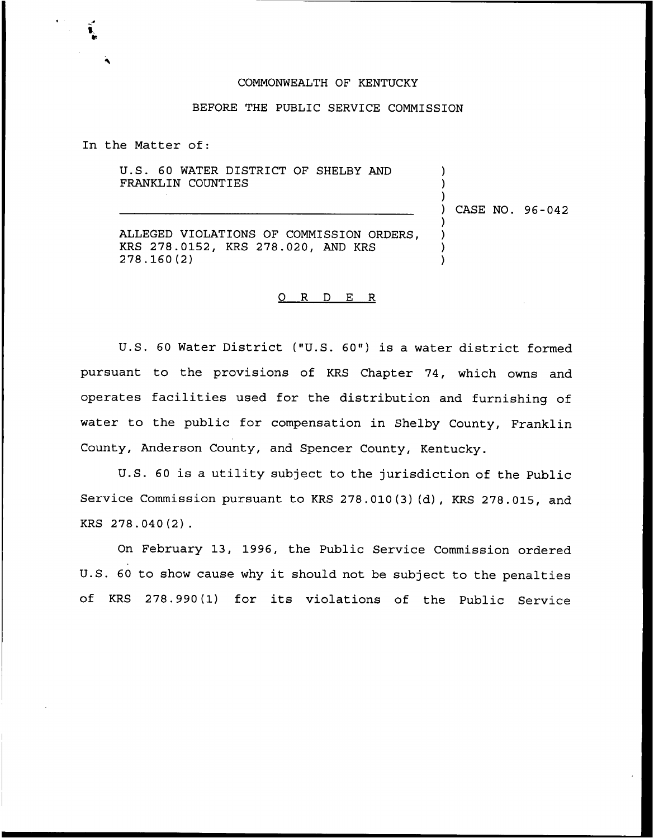## COMMONWEALTH OF KENTUCKY

### BEFORE THE PUBLIC SERVICE COMMISSION

In the Matter of:

U.S. 60 WATER DISTRICT OF SHELBY AND FRANKLIN COUNTIES

) CASE NO. 96-042

) ) )

) ) ) )

ALLEGED VIOLATIONS OF COMMISSION ORDERS, KRS 278.0152, KRS 278.020, AND KRS 278. 160 (2)

# 0 R <sup>D</sup> E R

U.S. <sup>60</sup> Water District ("U.S. 60") is a water district formed pursuant to the provisions of KRS Chapter 74, which owns and operates facilities used for the distribution and furnishing of water to the public for compensation in Shelby County, Franklin County, Anderson County, and Spencer County, Kentucky.

U.S. <sup>60</sup> is a utility subject to the jurisdiction of the Public Service Commission pursuant to KRS 278.010(3)(d), KRS 278.015, and KRS 278.040(2).

On February 13, 1996, the Public Service Commission ordered U.S. <sup>60</sup> to show cause why it should not be subject to the penalties of KRS 278.990(1) for its violations of the Public Service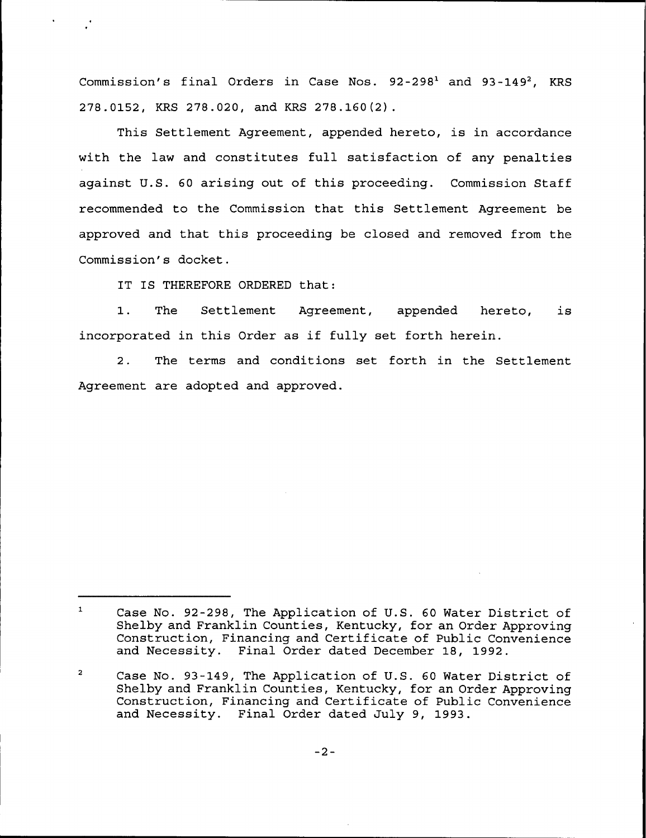Commission's final Orders in Case Nos.  $92-298<sup>1</sup>$  and  $93-149<sup>2</sup>$ , KRS 278.0152, KRS 278.020, and KRS 278.160(2).

This Settlement Agreement, appended hereto, is in accordance with the law and constitutes full satisfaction of any penalties against U.S. 60 arising out of this proceeding. Commission Staff recommended to the Commission that this Settlement Agreement be approved and that this proceeding be closed and removed from the Commission's docket.

IT IS THEREFORE ORDERED that:

1. The Settlement Agreement, appended hereto, is incorporated in this Order as if fully set forth herein.

2. The terms and conditions set forth in the Settlement Agreement are adopted and approved.

 $\mathbf{1}^-$ Case No. 92-298, The Application of U.S. 60 Water District of Shelby and Franklin Counties, Kentucky, for an Order Approving Construction, Financing and Certificate of Public Convenience and Necessity. Final Order dated December 18, 1992.

 $\overline{a}$ Case No. 93-149, The Application of U.S. 60 Water District of Shelby and Franklin Counties, Kentucky, for an Order Approving Construction, Financing and Certificate of Public Convenience and Necessity. Final Order dated July 9, 1993.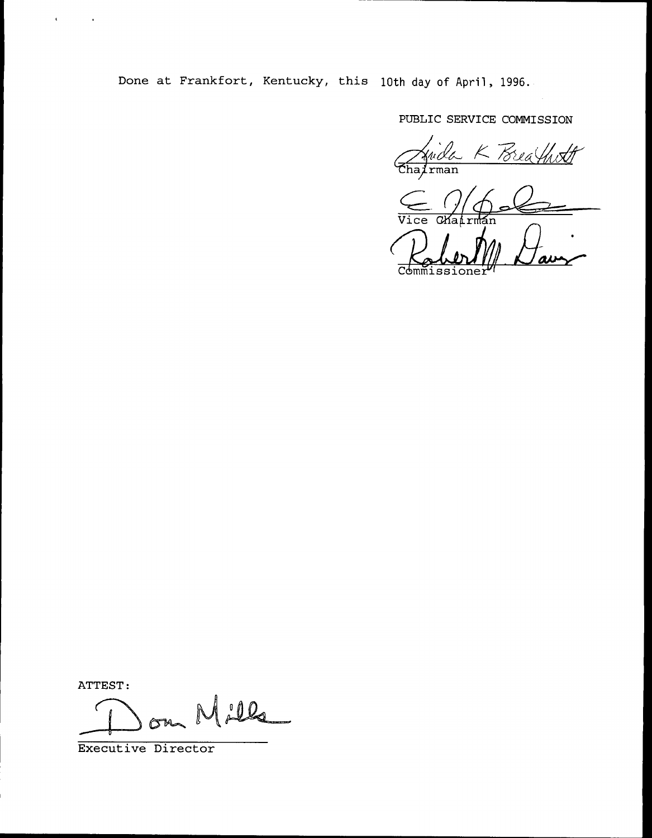Done at Frankfort, Kentucky, this 10th day of April, 1996.

PUBLIC SERVICE COMMISSION

Juida K Brea

 $\frac{C}{\text{Vice}}$ 

Commissione

ATTEST:

 $\mathbf{C}^{\text{max}}_{\text{max}}$  and  $\mathbf{C}^{\text{max}}_{\text{max}}$ 

Milla  $\sigma$ <sub> $\sim$ </sub>

Executive Director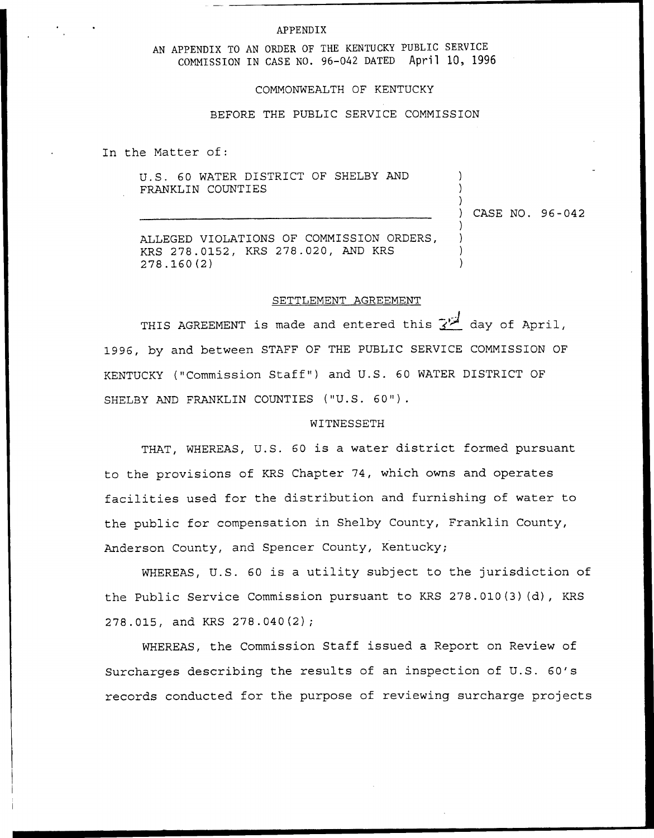#### **APPENDIX**

AN APPENDIX TO AN ORDER OF THE KENTUCKY PUBLIC SERVICE COMMISSION IN CASE NO. 96-042 DATED April 10, 1996

#### COMMONWEALTH OF KENTUCKY

## BEFORE THE PUBLIC SERVICE COMMISSION

In the Matter of:

U.S. 60 WATER DISTRICT OF SHELBY AND FRANKLIN COUNTIES

)<br>) CASE NO. 96-042

) )

> ) ) ) )

ALLEGED VIOLATIONS OF COMMISSION ORDERS, KRS 278.0152, KRS 278.020, AND KRS 278.160(2)

#### SETTLEMENT AGREEMENT

THIS AGREEMENT is made and entered this  $\overline{Y^{\perp}}$  day of April, 1996, by and between STAFF OF THE PUBLIC SERVICE COMMISSION OF KENTUCKY ("Commission Staff" ) and U.S. 60 WATER DISTRICT OF SHELBY AND FRANKLIN COUNTIES ("U.S. 60").

### WITNESSETH

THAT, WHEREAS, U.S. 60 is a water district formed pursuant to the provisions of KRS Chapter 74, which owns and operates facilities used for the distribution and furnishing of water to the public for compensation in Shelby County, Franklin County, Anderson County, and Spencer County, Kentucky;

WHEREAS, U.S. 60 is a utility subject to the jurisdiction of the Public Service Commission pursuant to KRS 278.010(3)(d), KRS 278.015, and KRS 278.040(2);

WHEREAS, the Commission Staff issued a Report on Review of Surcharges describing the results of an inspection of U.S. 60's records conducted for the purpose of reviewing surcharge projects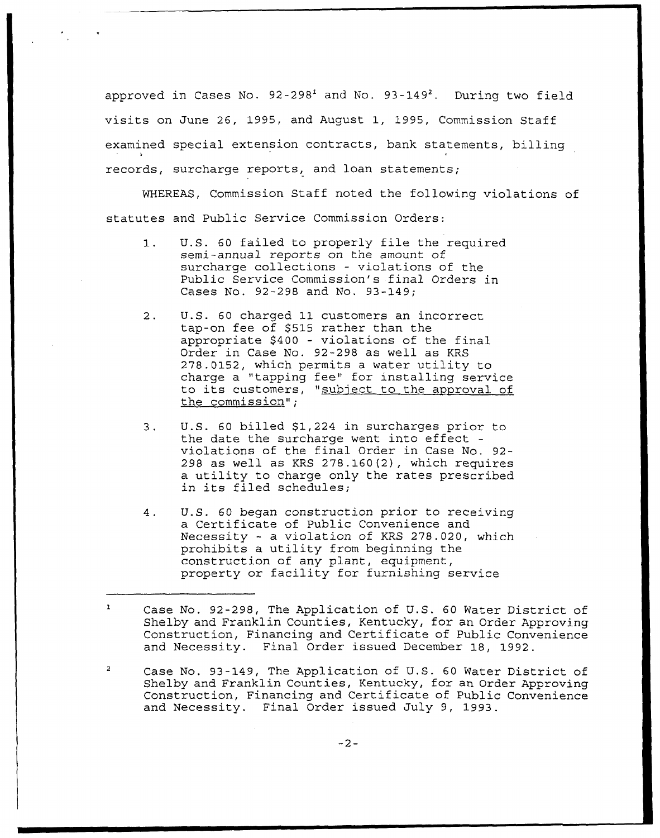approved in Cases No.  $92-298<sup>1</sup>$  and No.  $93-149<sup>2</sup>$ . During two field visits on June 26, 1995, and August 1, 1995, Commission Staff examined special extension contracts, bank statements, billing records, surcharge reports, and loan statements;

WHEREAS, Commission Staff noted the following violations of statutes and Public Service Commission Orders:

- U.S. <sup>60</sup> failed to properly file the required  $1.$ semi-annual reports on the amount of surcharge collections — violations of the Public Service Commission's final Orders in Cases No. 92-298 and No. 93-149;
- $2.$ U.S. 60 charged 11 customers an incorrect tap-on fee of \$515 rather than the appropriate \$400 — violations of the final Order in Case No. 92-298 as well as KRS 278.0152, which permits <sup>a</sup> water utility to charge a "tapping fee" for installing service to its customers, "subject to the approval of the commission";
- U.S. 60 billed \$1,224 in surcharges prior to  $3.$ the date the surcharge went into effect violations of the final Order in Case No. 92- 298 as well as KRS  $278.160(2)$ , which requires a utility to charge only the rates prescribed in its filed schedules;
- U.S. 60 began construction prior to receiving 4. a Certificate of Public Convenience and Necessity - a violation of KRS 278.020, which prohibits a utility from beginning the construction of any plant, equipment, property or facility for furnishing service

Case No. 93-149, The Application of U.S. 60 Water District of Shelby and Franklin Counties, Kentucky, for an Order Approving Construction, Financing and Certificate of Public Convenience and Necessity. Final Order issued July 9, 1993.

Case No. 92-298, The Application of U.S. 60 Water District of Shelby and Franklin Counties, Kentucky, for an Order Approving Construction, Financing and Certificate of Public Convenience and Necessity. Final Order issued December 18, 1992.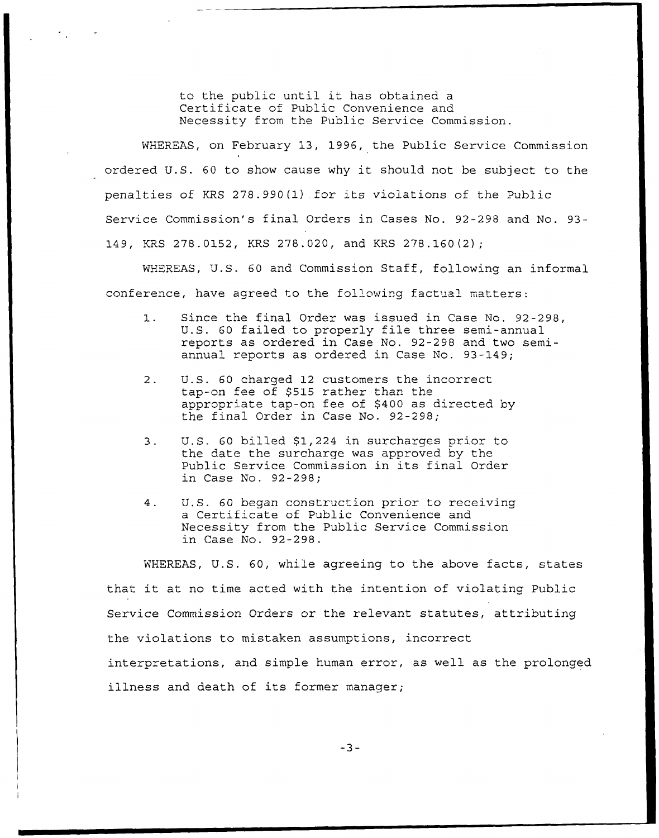to the public until it has obtained <sup>a</sup> Certificate of Public Convenience and Necessity from the Public Service Commission.

WHEREAS, on February 13, 1996, the Public Service Commission ordered U.S. <sup>60</sup> to show cause why it should not be subject to the penalties of KRS 278.990(l).for its violations of the Public Service Commission's final Orders in Cases No. 92-298 and No. 93- 149, KRS 278.0152, KRS 278.020, and KRS 278.160(2);

WHEREAS, U.S. 60 and Commission Staff, following an informal conference, have agreed to the following factual matters:

- $1.$ Since the final Order was issued in Case No. 92-298, U.S. <sup>60</sup> failed to properly file three semi-annual reports as ordered in Case No. 92-298 and two semiannual reports as ordered in Case No. 93-149;
- $2.$ U.S. 60 charged 12 customers the incorrect tap-on fee of \$515 rather than the appropriate tap-on fee of \$400 as directed by the final Order in Case No, 92-298;
- 3. U.S. 60 billed \$1,224 in surcharges prior to the date the surcharge was approved by the Public Service Commission in its final Order in Case No. 92-298;
- 4. U.S. 60 began construction prior to receiving a Certificate of Public Convenience and Necessity from the Public Service Commission in Case No. 92-298.

WHEREAS, U.S. 60, while agreeing to the above facts, states that it at no time acted with tne intention of violating Public Service Commission Orders or the relevant statutes, attributing the violations to mistaken assumptions, incorrect interpretations, and simple human error, as well as the prolonged illness and death of its former manager;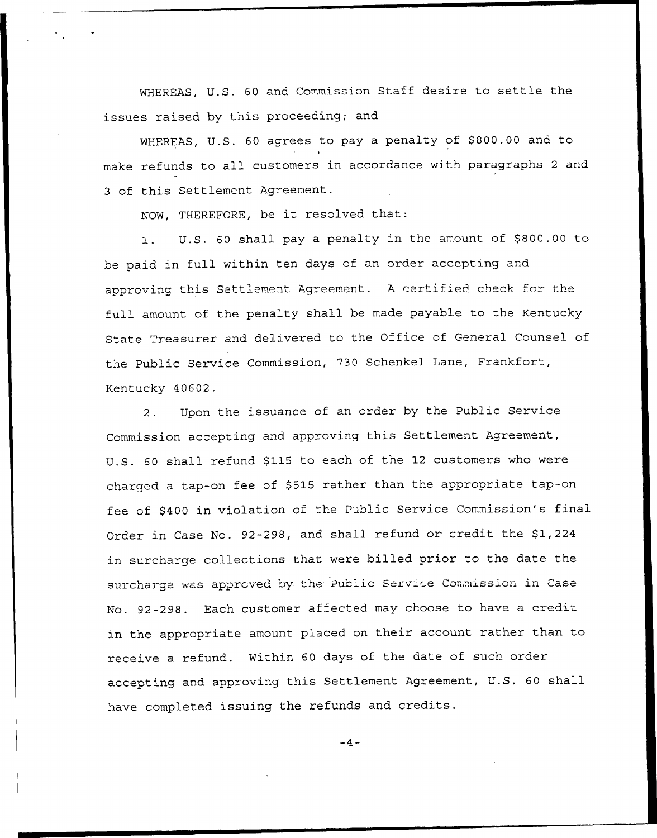WHEREAS, U. S. <sup>60</sup> and Commission Staff desire to settle the issues raised by this proceeding; and

WHEREAS, U.S. 60 agrees to pay a penalty of \$800.00 and to t make refunds to all customers in accordance with paragraphs <sup>2</sup> and <sup>3</sup> of this Settlement Agreement.

NOW, THEREFORE, be it resolved that:

U.S. 60 shall pay a penalty in the amount of \$800.00 to  $1.$ be paid in full within ten days of an order accepting and approving this Settlement Agreement. A certified check for the full amount of the penalty shall be made payable to the Kentucky State Treasurer and delivered to the Office of General Counsel of the Public Service Commission, 730 Schenkel Lane, Frankfort, Kentucky 40602.

2. Upon the issuance of an order by the Public Service Commission accepting and approving this Settlement Agreement, U.S. 60 shall refund \$115 to each of the 12 customers who were charged a tap-on fee of \$515 rather than the appropriate tap-on fee of \$400 in violation of the Public Service Commission's final Order in Case No. 92-298, and shall refund or credit the \$1,224 in surcharge collections that were billed prior to the date the surcharge was approved by the Public Service Commission in Case No. 92-298. Each customer affected may choose to have a credit in the appropriate amount placed on their account rather than to receive a refund. Within 60 days of the date of such order accepting and approving this Settlement Agreement, U. S. <sup>60</sup> shall have completed issuing the refunds and credits.

 $-4-$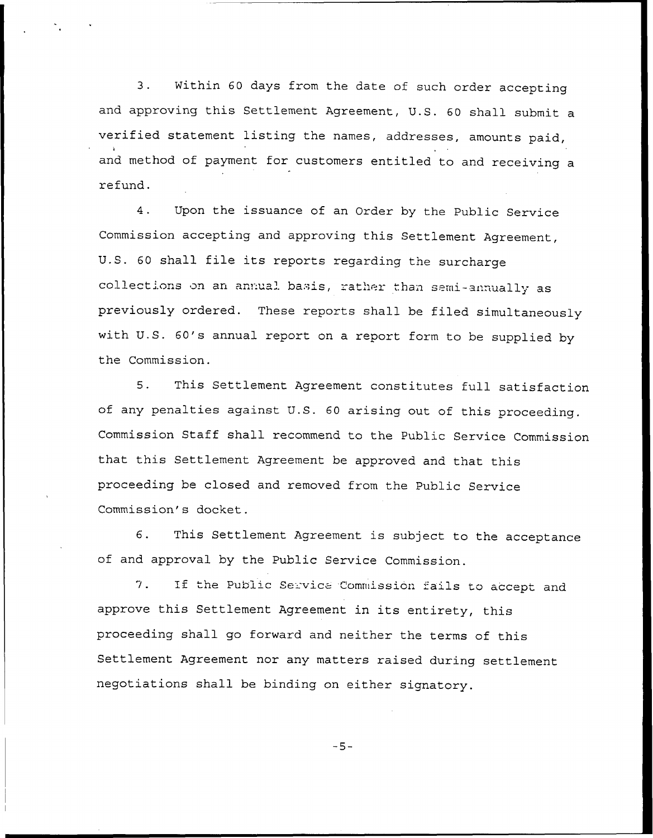3. Within <sup>60</sup> days from the date of such order accepting and approving this Settlement Agreement, U.S. <sup>60</sup> shall submit a verified statement listing the names, addresses, amounts paid, and method of payment for customers entitled to and receiving a refund.

4. Upon the issuance of an Order by the Public Service Commission accepting and approving this Settlement Agreement, U.S. 60 shall file its reports regarding the surcharge<br>collections on an annual basis, rather than semi-annually as previously ordered. These reports shall be filed simultaneously with U.S. 60's annual report on <sup>a</sup> report form to be supplied by the Commission.

5. This Settlement Agreement constitutes full satisfaction of any penalties against U.S. <sup>60</sup> arising out of this proceeding. Commission Staff shall recommend to the Public Service Commission that this Settlement Agreement be approved and that this proceeding be closed and removed from the Public Service Commission's docket.

6. This Settlement Agreement is subject to the acceptance of and approval by the Public Service Commission.

If the Public Service Commission fails to accept and  $7.$ approve this Settlement Agreement in its entirety, this proceeding shall go forward and neither the terms of this Settlement Agreement nor any matters raised during settlement negotiations shall be binding on either signatory.

 $-5-$